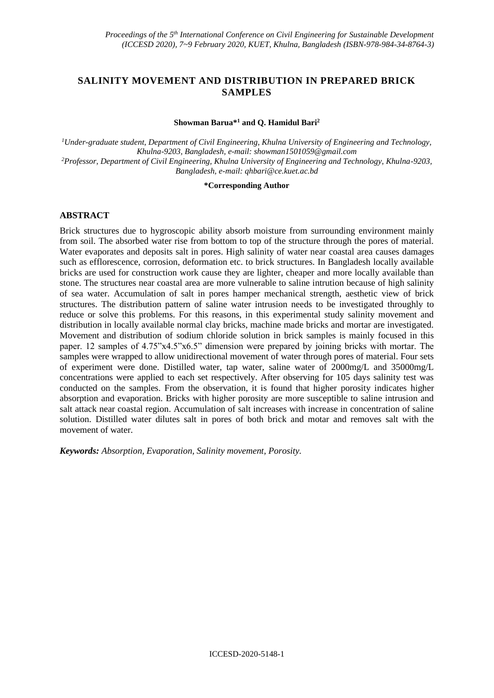# **SALINITY MOVEMENT AND DISTRIBUTION IN PREPARED BRICK SAMPLES**

### **Showman Barua\*<sup>1</sup> and Q. Hamidul Bari<sup>2</sup>**

*<sup>1</sup>Under-graduate student, Department of Civil Engineering, Khulna University of Engineering and Technology, Khulna-9203, Bangladesh, e-mail: showman1501059@gmail.com <sup>2</sup>Professor, Department of Civil Engineering, Khulna University of Engineering and Technology, Khulna-9203, Bangladesh, e-mail: [qhbari@ce.kuet.ac.bd](mailto:qhbari@ce.kuet.ac.bd)*

#### **\*Corresponding Author**

# **ABSTRACT**

Brick structures due to hygroscopic ability absorb moisture from surrounding environment mainly from soil. The absorbed water rise from bottom to top of the structure through the pores of material. Water evaporates and deposits salt in pores. High salinity of water near coastal area causes damages such as efflorescence, corrosion, deformation etc. to brick structures. In Bangladesh locally available bricks are used for construction work cause they are lighter, cheaper and more locally available than stone. The structures near coastal area are more vulnerable to saline intrution because of high salinity of sea water. Accumulation of salt in pores hamper mechanical strength, aesthetic view of brick structures. The distribution pattern of saline water intrusion needs to be investigated throughly to reduce or solve this problems. For this reasons, in this experimental study salinity movement and distribution in locally available normal clay bricks, machine made bricks and mortar are investigated. Movement and distribution of sodium chloride solution in brick samples is mainly focused in this paper. 12 samples of 4.75"x4.5"x6.5" dimension were prepared by joining bricks with mortar. The samples were wrapped to allow unidirectional movement of water through pores of material. Four sets of experiment were done. Distilled water, tap water, saline water of 2000mg/L and 35000mg/L concentrations were applied to each set respectively. After observing for 105 days salinity test was conducted on the samples. From the observation, it is found that higher porosity indicates higher absorption and evaporation. Bricks with higher porosity are more susceptible to saline intrusion and salt attack near coastal region. Accumulation of salt increases with increase in concentration of saline solution. Distilled water dilutes salt in pores of both brick and motar and removes salt with the movement of water.

*Keywords: Absorption, Evaporation, Salinity movement, Porosity.*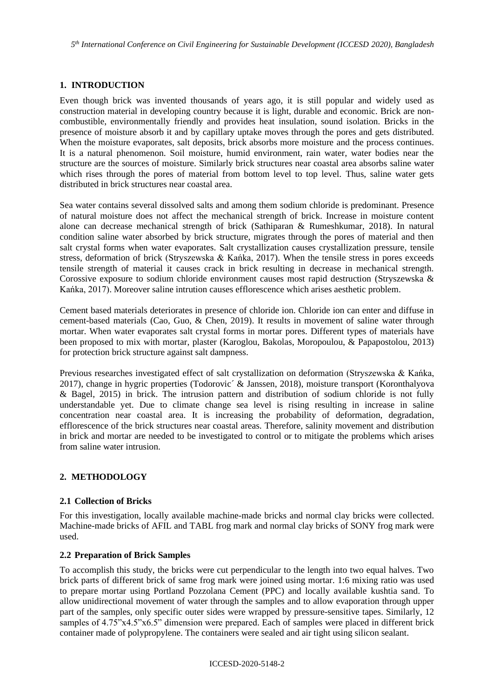# **1. INTRODUCTION**

Even though brick was invented thousands of years ago, it is still popular and widely used as construction material in developing country because it is light, durable and economic. Brick are noncombustible, environmentally friendly and provides heat insulation, sound isolation. Bricks in the presence of moisture absorb it and by capillary uptake moves through the pores and gets distributed. When the moisture evaporates, salt deposits, brick absorbs more moisture and the process continues. It is a natural phenomenon. Soil moisture, humid environment, rain water, water bodies near the structure are the sources of moisture. Similarly brick structures near coastal area absorbs saline water which rises through the pores of material from bottom level to top level. Thus, saline water gets distributed in brick structures near coastal area.

Sea water contains several dissolved salts and among them sodium chloride is predominant. Presence of natural moisture does not affect the mechanical strength of brick. Increase in moisture content alone can decrease mechanical strength of brick (Sathiparan & Rumeshkumar, 2018). In natural condition saline water absorbed by brick structure, migrates through the pores of material and then salt crystal forms when water evaporates. Salt crystallization causes crystallization pressure, tensile stress, deformation of brick (Stryszewska & Kańka, 2017). When the tensile stress in pores exceeds tensile strength of material it causes crack in brick resulting in decrease in mechanical strength. Corossive exposure to sodium chloride environment causes most rapid destruction (Stryszewska & Kańka, 2017). Moreover saline intrution causes efflorescence which arises aesthetic problem.

Cement based materials deteriorates in presence of chloride ion. Chloride ion can enter and diffuse in cement-based materials (Cao, Guo, & Chen, 2019). It results in movement of saline water through mortar. When water evaporates salt crystal forms in mortar pores. Different types of materials have been proposed to mix with mortar, plaster (Karoglou, Bakolas, Moropoulou, & Papapostolou, 2013) for protection brick structure against salt dampness.

Previous researches investigated effect of salt crystallization on deformation (Stryszewska & Kańka, 2017), change in hygric properties (Todorovic´ & Janssen, 2018), moisture transport (Koronthalyova & Bagel, 2015) in brick. The intrusion pattern and distribution of sodium chloride is not fully understandable yet. Due to climate change sea level is rising resulting in increase in saline concentration near coastal area. It is increasing the probability of deformation, degradation, efflorescence of the brick structures near coastal areas. Therefore, salinity movement and distribution in brick and mortar are needed to be investigated to control or to mitigate the problems which arises from saline water intrusion.

# **2. METHODOLOGY**

# **2.1 Collection of Bricks**

For this investigation, locally available machine-made bricks and normal clay bricks were collected. Machine-made bricks of AFIL and TABL frog mark and normal clay bricks of SONY frog mark were used.

# **2.2 Preparation of Brick Samples**

To accomplish this study, the bricks were cut perpendicular to the length into two equal halves. Two brick parts of different brick of same frog mark were joined using mortar. 1:6 mixing ratio was used to prepare mortar using Portland Pozzolana Cement (PPC) and locally available kushtia sand. To allow unidirectional movement of water through the samples and to allow evaporation through upper part of the samples, only specific outer sides were wrapped by pressure-sensitive tapes. Similarly, 12 samples of 4.75"x4.5"x6.5" dimension were prepared. Each of samples were placed in different brick container made of polypropylene. The containers were sealed and air tight using silicon sealant.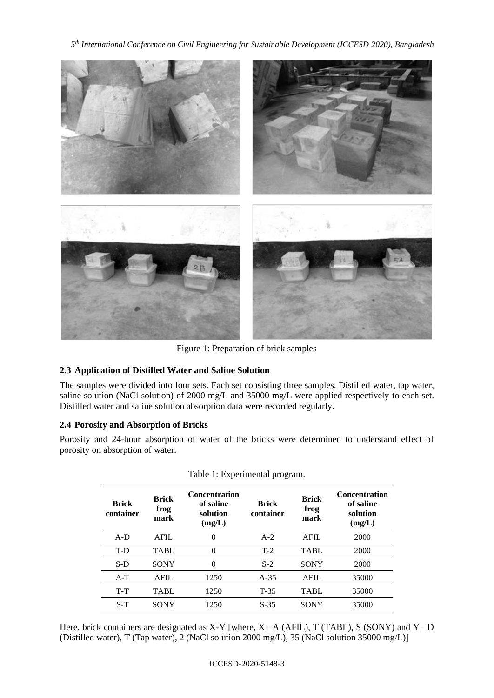*5 th International Conference on Civil Engineering for Sustainable Development (ICCESD 2020), Bangladesh*



Figure 1: Preparation of brick samples

# **2.3 Application of Distilled Water and Saline Solution**

The samples were divided into four sets. Each set consisting three samples. Distilled water, tap water, saline solution (NaCl solution) of 2000 mg/L and 35000 mg/L were applied respectively to each set. Distilled water and saline solution absorption data were recorded regularly.

# **2.4 Porosity and Absorption of Bricks**

Porosity and 24-hour absorption of water of the bricks were determined to understand effect of porosity on absorption of water.

| <b>Brick</b><br>container | <b>Brick</b><br>frog<br>mark | <b>Concentration</b><br>of saline<br>solution<br>(mg/L) | <b>Brick</b><br>container | <b>Brick</b><br>frog<br>mark | <b>Concentration</b><br>of saline<br>solution<br>(mg/L) |
|---------------------------|------------------------------|---------------------------------------------------------|---------------------------|------------------------------|---------------------------------------------------------|
| $A-D$                     | AFII.                        | $\theta$                                                | $A-2$                     | <b>AFIL</b>                  | 2000                                                    |
| T-D                       | TABL.                        | $\Omega$                                                | $T-2$                     | TABL.                        | 2000                                                    |
| $S-D$                     | <b>SONY</b>                  | $\Omega$                                                | $S-2$                     | <b>SONY</b>                  | 2000                                                    |
| $A-T$                     | $A$ $FII$ .                  | 1250                                                    | $A-35$                    | <b>AFIL</b>                  | 35000                                                   |
| $T-T$                     | TABL                         | 1250                                                    | $T-35$                    | <b>TABL</b>                  | 35000                                                   |
| $S-T$                     | <b>SONY</b>                  | 1250                                                    | $S-35$                    | <b>SONY</b>                  | 35000                                                   |

Table 1: Experimental program.

Here, brick containers are designated as X-Y [where,  $X = A$  (AFIL), T (TABL), S (SONY) and  $Y = D$ (Distilled water), T (Tap water), 2 (NaCl solution 2000 mg/L), 35 (NaCl solution 35000 mg/L)]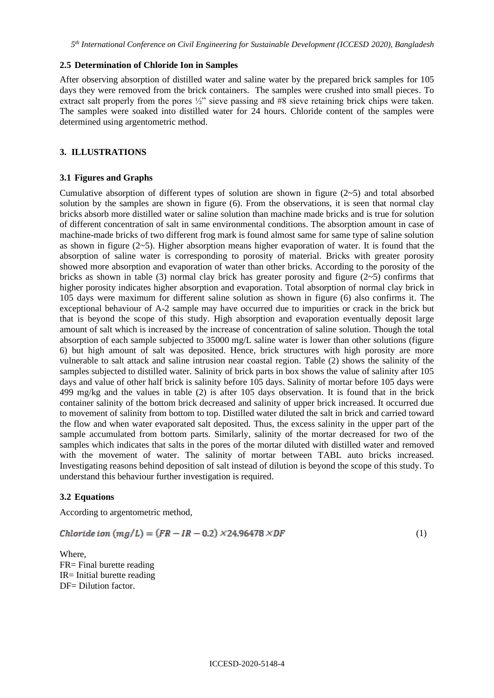### **2.5 Determination of Chloride Ion in Samples**

After observing absorption of distilled water and saline water by the prepared brick samples for 105 days they were removed from the brick containers. The samples were crushed into small pieces. To extract salt properly from the pores ½" sieve passing and #8 sieve retaining brick chips were taken. The samples were soaked into distilled water for 24 hours. Chloride content of the samples were determined using argentometric method.

# **3. ILLUSTRATIONS**

### **3.1 Figures and Graphs**

Cumulative absorption of different types of solution are shown in figure  $(2-5)$  and total absorbed solution by the samples are shown in figure (6). From the observations, it is seen that normal clay bricks absorb more distilled water or saline solution than machine made bricks and is true for solution of different concentration of salt in same environmental conditions. The absorption amount in case of machine-made bricks of two different frog mark is found almost same for same type of saline solution as shown in figure  $(2-5)$ . Higher absorption means higher evaporation of water. It is found that the absorption of saline water is corresponding to porosity of material. Bricks with greater porosity showed more absorption and evaporation of water than other bricks. According to the porosity of the bricks as shown in table (3) normal clay brick has greater porosity and figure ( $2~5$ ) confirms that higher porosity indicates higher absorption and evaporation. Total absorption of normal clay brick in 105 days were maximum for different saline solution as shown in figure (6) also confirms it. The exceptional behaviour of A-2 sample may have occurred due to impurities or crack in the brick but that is beyond the scope of this study. High absorption and evaporation eventually deposit large amount of salt which is increased by the increase of concentration of saline solution. Though the total absorption of each sample subjected to 35000 mg/L saline water is lower than other solutions (figure 6) but high amount of salt was deposited. Hence, brick structures with high porosity are more vulnerable to salt attack and saline intrusion near coastal region. Table (2) shows the salinity of the samples subjected to distilled water. Salinity of brick parts in box shows the value of salinity after 105 days and value of other half brick is salinity before 105 days. Salinity of mortar before 105 days were 499 mg/kg and the values in table (2) is after 105 days observation. It is found that in the brick container salinity of the bottom brick decreased and salinity of upper brick increased. It occurred due to movement of salinity from bottom to top. Distilled water diluted the salt in brick and carried toward the flow and when water evaporated salt deposited. Thus, the excess salinity in the upper part of the sample accumulated from bottom parts. Similarly, salinity of the mortar decreased for two of the samples which indicates that salts in the pores of the mortar diluted with distilled water and removed with the movement of water. The salinity of mortar between TABL auto bricks increased. Investigating reasons behind deposition of salt instead of dilution is beyond the scope of this study. To understand this behaviour further investigation is required.

# **3.2 Equations**

According to argentometric method,

$$
Chloride \text{ ion } (mg/L) = (FR - IR - 0.2) \times 24.96478 \times DF \tag{1}
$$

Where, FR= Final burette reading IR= Initial burette reading DF= Dilution factor.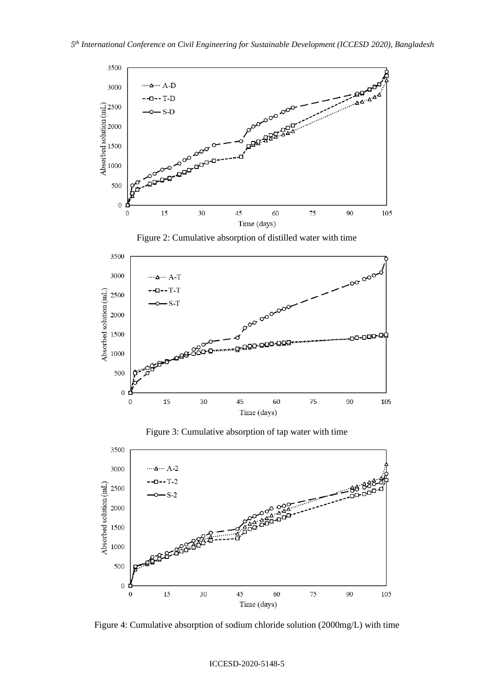

Figure 2: Cumulative absorption of distilled water with time



Figure 3: Cumulative absorption of tap water with time



Figure 4: Cumulative absorption of sodium chloride solution (2000mg/L) with time

#### ICCESD-2020-5148-5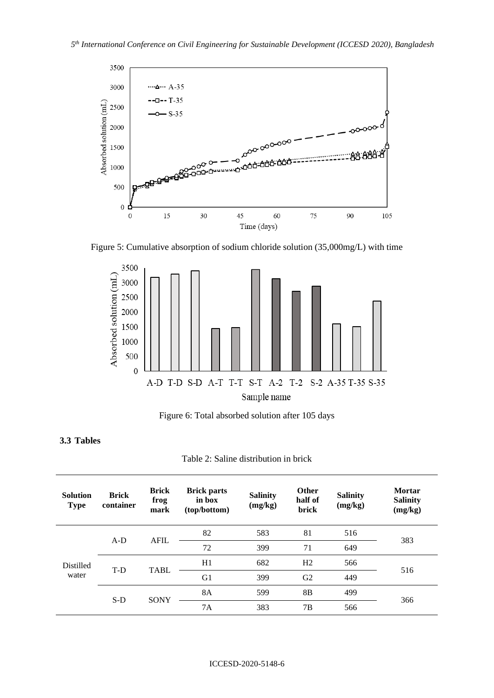

Figure 5: Cumulative absorption of sodium chloride solution (35,000mg/L) with time



Figure 6: Total absorbed solution after 105 days

# **3.3 Tables**

| <b>Solution</b><br><b>Type</b> | <b>Brick</b><br>container | <b>Brick</b><br>frog<br>mark | <b>Brick parts</b><br>in box<br>(top/bottom) | <b>Salinity</b><br>(mg/kg) | <b>Other</b><br>half of<br>brick | <b>Salinity</b><br>(mg/kg) | <b>Mortar</b><br><b>Salinity</b><br>(mg/kg) |  |
|--------------------------------|---------------------------|------------------------------|----------------------------------------------|----------------------------|----------------------------------|----------------------------|---------------------------------------------|--|
| <b>Distilled</b><br>water      | $A-D$                     | <b>AFIL</b>                  | 82                                           | 583                        | 81                               | 516                        | 383                                         |  |
|                                |                           |                              | 72                                           | 399                        | 71                               | 649                        |                                             |  |
|                                | T-D                       | <b>TABL</b>                  | H1                                           | 682                        | H2                               | 566                        | 516                                         |  |
|                                |                           |                              | G <sub>1</sub>                               | 399                        | G <sub>2</sub>                   | 449                        |                                             |  |
|                                | $S-D$                     | <b>SONY</b>                  | 8A                                           | 599                        | 8B                               | 499                        | 366                                         |  |
|                                |                           |                              | 7A                                           | 383                        | 7B                               | 566                        |                                             |  |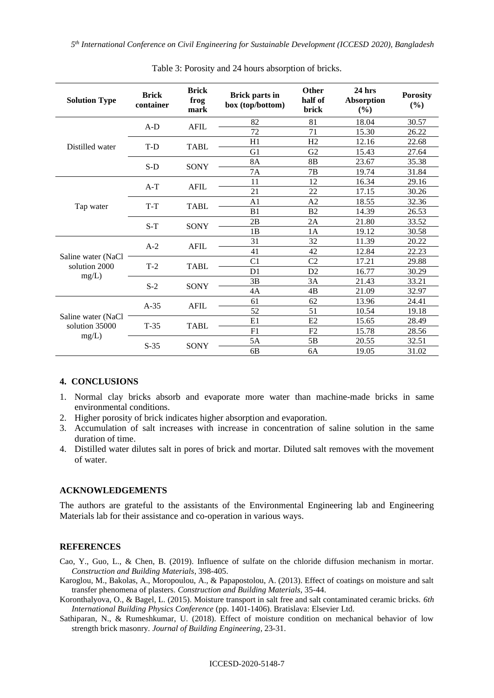| <b>Solution Type</b>                          | <b>Brick</b><br>container | <b>Brick</b><br>frog<br>mark | <b>Brick parts in</b><br>box (top/bottom) | <b>Other</b><br>half of<br>brick | $24$ hrs<br><b>Absorption</b><br>$(\%)$ | <b>Porosity</b><br>(%) |
|-----------------------------------------------|---------------------------|------------------------------|-------------------------------------------|----------------------------------|-----------------------------------------|------------------------|
| Distilled water                               | $A-D$                     | <b>AFIL</b>                  | 82                                        | 81                               | 18.04                                   | 30.57                  |
|                                               |                           |                              | 72                                        | 71                               | 15.30                                   | 26.22                  |
|                                               | T-D                       | <b>TABL</b>                  | H1                                        | H2                               | 12.16                                   | 22.68                  |
|                                               |                           |                              | G1                                        | G2                               | 15.43                                   | 27.64                  |
|                                               | $S-D$                     | SONY                         | <b>8A</b>                                 | 8 <sub>B</sub>                   | 23.67                                   | 35.38                  |
|                                               |                           |                              | <b>7A</b>                                 | 7B                               | 19.74                                   | 31.84                  |
|                                               | $A-T$                     | <b>AFIL</b>                  | 11                                        | 12                               | 16.34                                   | 29.16                  |
|                                               |                           |                              | 21                                        | 22                               | 17.15                                   | 30.26                  |
|                                               | T-T                       | <b>TABL</b>                  | A1                                        | A2                               | 18.55                                   | 32.36                  |
| Tap water                                     |                           |                              | B1                                        | B2                               | 14.39                                   | 26.53                  |
|                                               | $S-T$                     | SONY                         | 2B                                        | 2A                               | 21.80                                   | 33.52                  |
|                                               |                           |                              | 1B                                        | 1A                               | 19.12                                   | 30.58                  |
| Saline water (NaCl<br>solution 2000<br>mg/L)  | $A-2$                     | <b>AFIL</b>                  | 31                                        | 32                               | 11.39                                   | 20.22                  |
|                                               |                           |                              | 41                                        | 42                               | 12.84                                   | 22.23                  |
|                                               | $T-2$                     | <b>TABL</b>                  | C <sub>1</sub>                            | C <sub>2</sub>                   | 17.21                                   | 29.88                  |
|                                               |                           |                              | D <sub>1</sub>                            | D2                               | 16.77                                   | 30.29                  |
|                                               | $S-2$                     | SONY                         | 3B                                        | 3A                               | 21.43                                   | 33.21                  |
|                                               |                           |                              | 4A                                        | 4B                               | 21.09                                   | 32.97                  |
| Saline water (NaCl<br>solution 35000<br>mg/L) | $A-35$                    | <b>AFIL</b>                  | 61                                        | 62                               | 13.96                                   | 24.41                  |
|                                               |                           |                              | 52                                        | 51                               | 10.54                                   | 19.18                  |
|                                               | $T-35$                    | <b>TABL</b>                  | E1                                        | E2                               | 15.65                                   | 28.49                  |
|                                               |                           |                              | F1                                        | F2                               | 15.78                                   | 28.56                  |
|                                               | $S-35$                    | <b>SONY</b>                  | 5A                                        | 5B                               | 20.55                                   | 32.51                  |
|                                               |                           |                              | 6 <sub>B</sub>                            | 6A                               | 19.05                                   | 31.02                  |

Table 3: Porosity and 24 hours absorption of bricks.

# **4. CONCLUSIONS**

- 1. Normal clay bricks absorb and evaporate more water than machine-made bricks in same environmental conditions.
- 2. Higher porosity of brick indicates higher absorption and evaporation.
- 3. Accumulation of salt increases with increase in concentration of saline solution in the same duration of time.
- 4. Distilled water dilutes salt in pores of brick and mortar. Diluted salt removes with the movement of water.

#### **ACKNOWLEDGEMENTS**

The authors are grateful to the assistants of the Environmental Engineering lab and Engineering Materials lab for their assistance and co-operation in various ways.

#### **REFERENCES**

Cao, Y., Guo, L., & Chen, B. (2019). Influence of sulfate on the chloride diffusion mechanism in mortar. *Construction and Building Materials*, 398-405.

- Karoglou, M., Bakolas, A., Moropoulou, A., & Papapostolou, A. (2013). Effect of coatings on moisture and salt transfer phenomena of plasters. *Construction and Building Materials*, 35-44.
- Koronthalyova, O., & Bagel, L. (2015). Moisture transport in salt free and salt contaminated ceramic bricks. *6th International Building Physics Conference* (pp. 1401-1406). Bratislava: Elsevier Ltd.
- Sathiparan, N., & Rumeshkumar, U. (2018). Effect of moisture condition on mechanical behavior of low strength brick masonry. *Journal of Building Engineering*, 23-31.